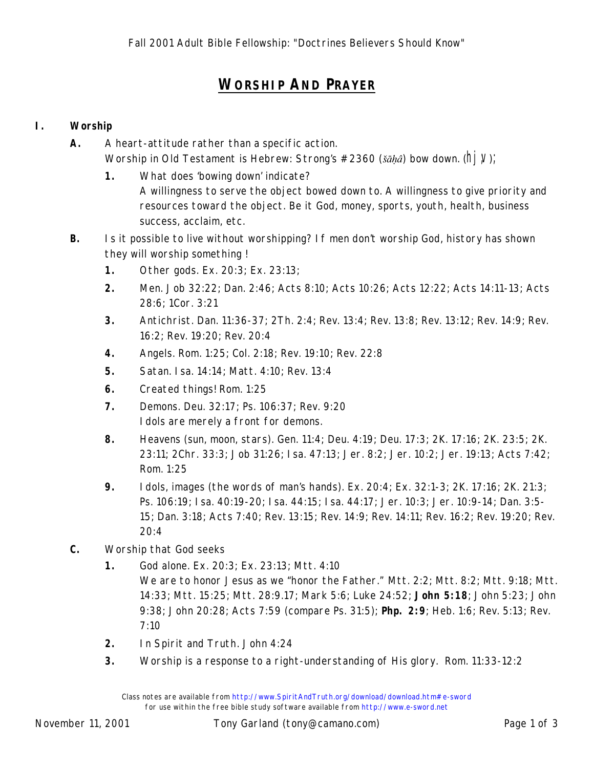## **WORSHIP AND PRAYER**

## **I. Worship**

- **A.** A heart-attitude rather than a specific action. Worship in Old Testament is Hebrew: Strong's #2360 (*šāhâ*) *bow down*. (h| V);
	- **1.** What does 'bowing down' indicate? A willingness to serve the object bowed down to. A willingness to give priority and resources toward the object. Be it God, money, sports, youth, health, business success, acclaim, etc.
- **B.** Is it possible to live without worshipping? If men don't worship God, history has shown they *will worship something* !
	- **1.** Other gods. Ex. 20:3; Ex. 23:13;
	- **2.** Men. Job 32:22; Dan. 2:46; Acts 8:10; Acts 10:26; Acts 12:22; Acts 14:11-13; Acts 28:6; 1Cor. 3:21
	- **3.** Antichrist. Dan. 11:36-37; 2Th. 2:4; Rev. 13:4; Rev. 13:8; Rev. 13:12; Rev. 14:9; Rev. 16:2; Rev. 19:20; Rev. 20:4
	- **4.** Angels. Rom. 1:25; Col. 2:18; Rev. 19:10; Rev. 22:8
	- **5.** Satan. Isa. 14:14; Matt. 4:10; Rev. 13:4
	- **6.** Created things! Rom. 1:25
	- **7.** Demons. Deu. 32:17; Ps. 106:37; Rev. 9:20 I dols are merely a front for demons.
	- **8.** Heavens (sun, moon, stars). Gen. 11:4; Deu. 4:19; Deu. 17:3; 2K. 17:16; 2K. 23:5; 2K. 23:11; 2Chr. 33:3; Job 31:26; Isa. 47:13; Jer. 8:2; Jer. 10:2; Jer. 19:13; Acts 7:42; Rom. 1:25
	- **9.** Idols, images (the words of man's hands). Ex. 20:4; Ex. 32:1-3; 2K. 17:16; 2K. 21:3; Ps. 106:19; Isa. 40:19-20; Isa. 44:15; Isa. 44:17; Jer. 10:3; Jer. 10:9-14; Dan. 3:5- 15; Dan. 3:18; Acts 7:40; Rev. 13:15; Rev. 14:9; Rev. 14:11; Rev. 16:2; Rev. 19:20; Rev. 20:4
- **C.** Worship that God seeks
	- **1.** God alone. Ex. 20:3; Ex. 23:13; Mtt. 4:10 We are to honor Jesus as we "honor the Father." Mtt. 2:2; Mtt. 8:2; Mtt. 9:18; Mtt. 14:33; Mtt. 15:25; Mtt. 28:9.17; Mark 5:6; Luke 24:52; **John 5:18**; John 5:23; John 9:38; John 20:28; Acts 7:59 (compare Ps. 31:5); **Php. 2:9**; Heb. 1:6; Rev. 5:13; Rev. 7:10
	- **2.** In Spirit and Truth. John 4:24
	- **3.** Worship is a response to a right-understanding of His glory. Rom. 11:33-12:2

Class notes are available from http://www.SpiritAndTruth.org/download/download.htm#e-sword for use within the free bible study software available from http://www.e-sword.net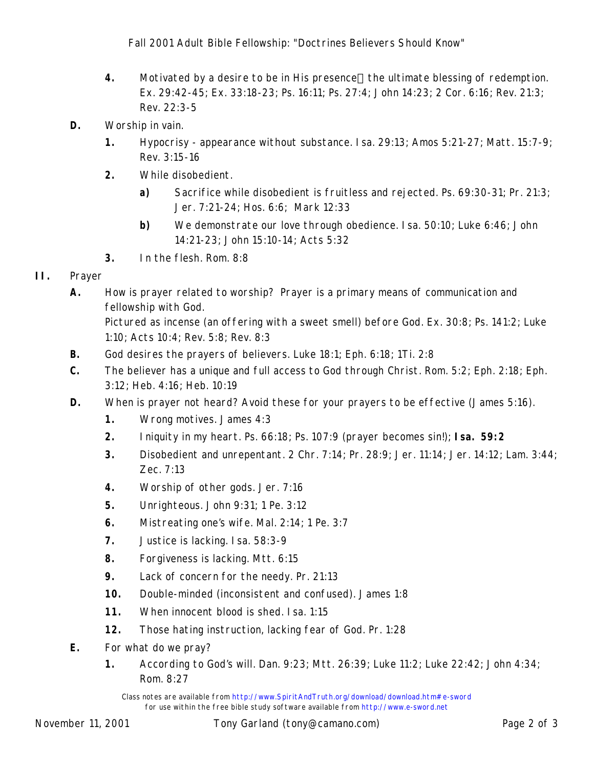- **4.** Motivated by a desire to be in His presence—the ultimate blessing of redemption. Ex. 29:42-45; Ex. 33:18-23; Ps. 16:11; Ps. 27:4; John 14:23; 2 Cor. 6:16; Rev. 21:3; Rev. 22:3-5
- **D.** Worship in vain.
	- **1.** Hypocrisy appearance without substance. Isa. 29:13; Amos 5:21-27; Matt. 15:7-9; Rev. 3:15-16
	- **2.** While disobedient.
		- **a)** Sacrifice while disobedient is fruitless and rejected. Ps. 69:30-31; Pr. 21:3; Jer. 7:21-24; Hos. 6:6; Mark 12:33
		- **b)** We demonstrate our love through obedience. Isa. 50:10; Luke 6:46; John 14:21-23; John 15:10-14; Acts 5:32
	- **3.** In the flesh. Rom. 8:8
- **II.** Prayer
	- **A.** How is prayer related to worship? Prayer is a primary means of communication and *fellowship* with God.

Pictured as incense (an offering with a sweet smell) before God. Ex. 30:8; Ps. 141:2; Luke 1:10; Acts 10:4; Rev. 5:8; Rev. 8:3

- **B.** God desires the prayers of believers. Luke 18:1; Eph. 6:18; 1Ti. 2:8
- **C.** The believer has a unique and full access to God through Christ. Rom. 5:2; Eph. 2:18; Eph. 3:12; Heb. 4:16; Heb. 10:19
- **D.** When is prayer not heard? Avoid these for your prayers to be effective (James 5:16).
	- **1.** Wrong motives. James 4:3
	- **2.** Iniquity in my heart. Ps. 66:18; Ps. 107:9 (prayer becomes sin!); **Isa. 59:2**
	- **3.** Disobedient and unrepentant. 2 Chr. 7:14; Pr. 28:9; Jer. 11:14; Jer. 14:12; Lam. 3:44; Zec. 7:13
	- **4.** Worship of other gods. Jer. 7:16
	- **5.** Unrighteous. John 9:31; 1 Pe. 3:12
	- **6.** Mistreating one's wife. Mal. 2:14; 1 Pe. 3:7
	- **7.** Justice is lacking. Isa. 58:3-9
	- **8.** Forgiveness is lacking. Mtt. 6:15
	- **9.** Lack of concern for the needy. Pr. 21:13
	- **10.** Double-minded (inconsistent and confused). James 1:8
	- **11.** When innocent blood is shed. Isa. 1:15
	- **12.** Those hating instruction, lacking fear of God. Pr. 1:28
- **E.** For what do we pray?
	- **1.** According to God's will. Dan. 9:23; Mtt. 26:39; Luke 11:2; Luke 22:42; John 4:34; Rom. 8:27

Class notes are available from http://www.SpiritAndTruth.org/download/download.htm#e-sword for use within the free bible study software available from http://www.e-sword.net